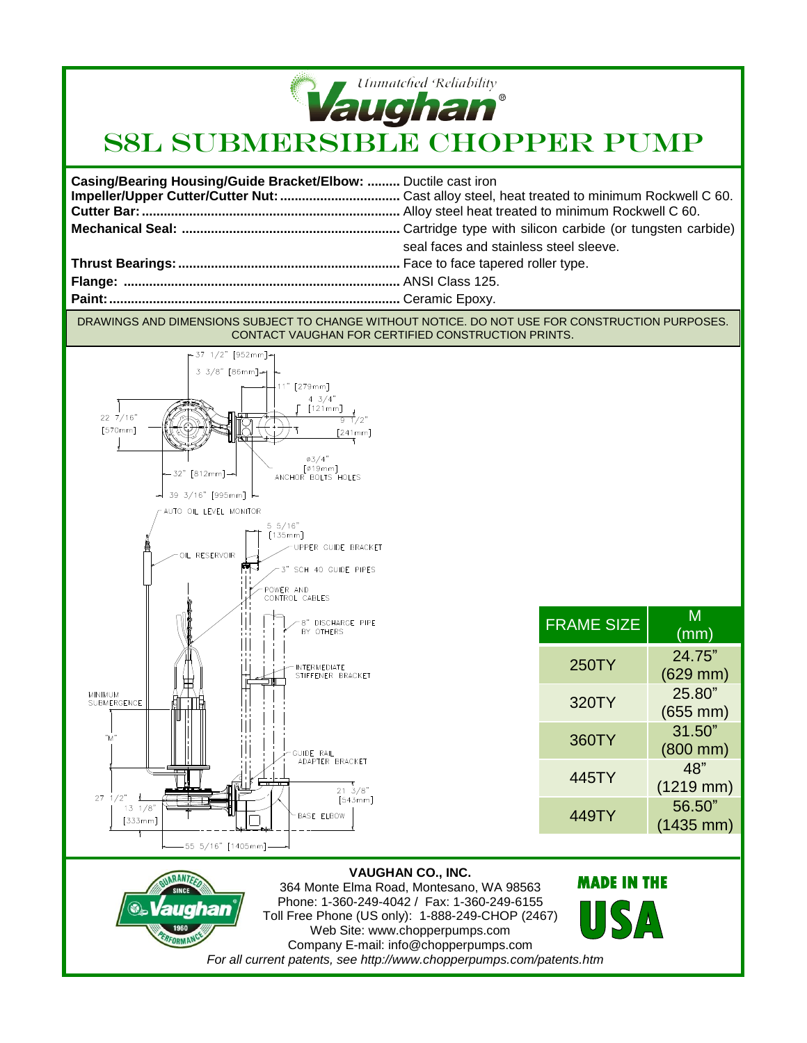

## **Vaughan**<br>S8L SUBMERSIBLE CHOPPER PUMP

| Casing/Bearing Housing/Guide Bracket/Elbow:  Ductile cast iron |                                        |
|----------------------------------------------------------------|----------------------------------------|
|                                                                | seal faces and stainless steel sleeve. |
|                                                                |                                        |
|                                                                |                                        |
|                                                                |                                        |

DRAWINGS AND DIMENSIONS SUBJECT TO CHANGE WITHOUT NOTICE. DO NOT USE FOR CONSTRUCTION PURPOSES. CONTACT VAUGHAN FOR CERTIFIED CONSTRUCTION PRINTS.





**MADE IN THE** 

 $S/\Lambda$ 

FRAME SIZE  $\left| \right|$  M

250TY 24.75"

320TY 25.80"

360TY 31.50"

 $445$ <sup>T</sup>

449TY 56.50"

(mm)

(629 mm)

(655 mm)

(800 mm)

(1219 mm)

(1435 mm)